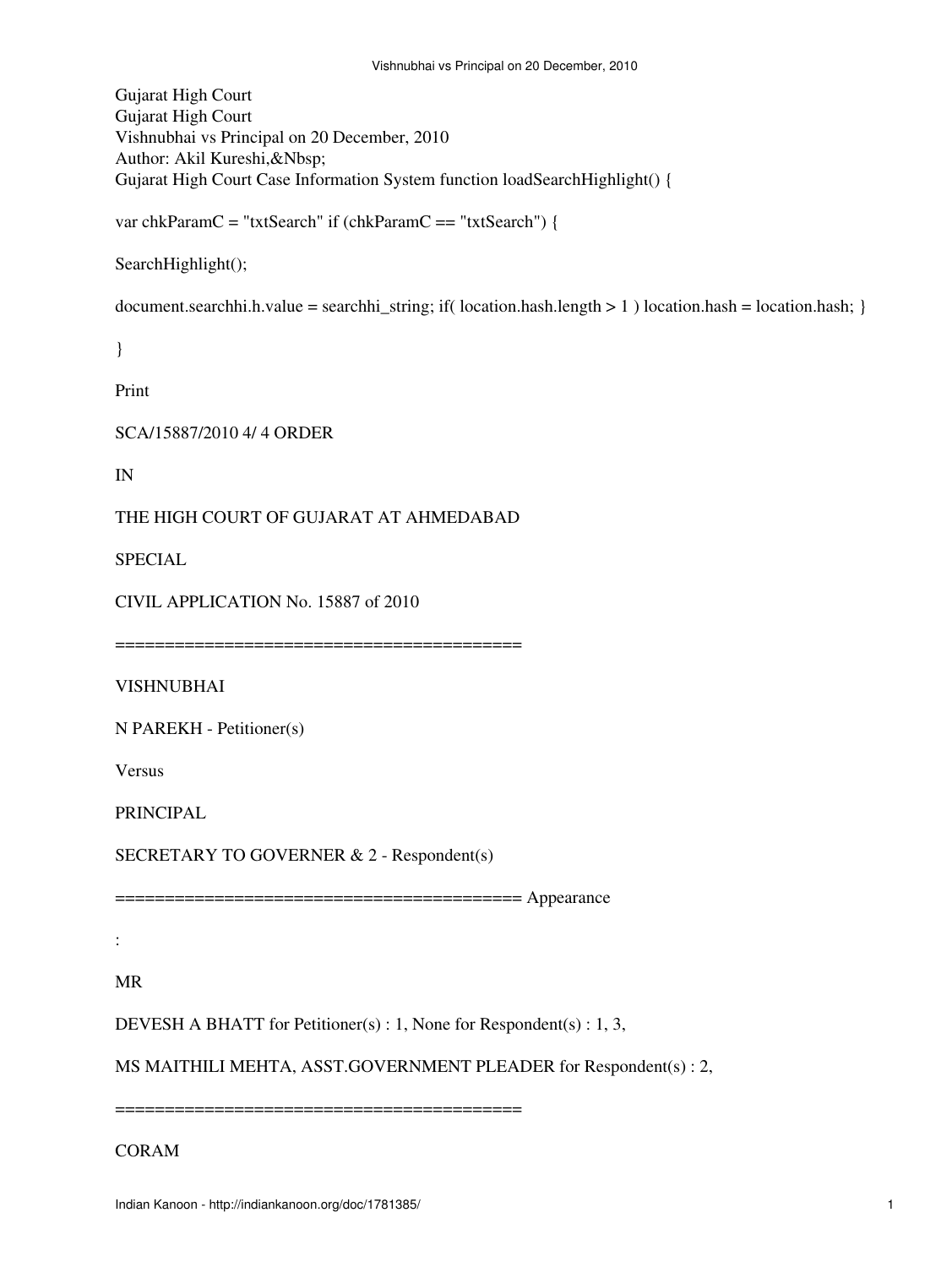Gujarat High Court Gujarat High Court Vishnubhai vs Principal on 20 December, 2010 Author: Akil Kureshi,&Nbsp; Gujarat High Court Case Information System function loadSearchHighlight() {

var chkParamC = "txtSearch" if (chkParamC == "txtSearch") {

SearchHighlight();

document.searchhi.h.value = searchhi\_string; if( location.hash.length > 1 ) location.hash = location.hash; }

}

Print

SCA/15887/2010 4/ 4 ORDER

IN

THE HIGH COURT OF GUJARAT AT AHMEDABAD

SPECIAL

CIVIL APPLICATION No. 15887 of 2010

=========================================

VISHNUBHAI

N PAREKH - Petitioner(s)

Versus

PRINCIPAL

SECRETARY TO GOVERNER & 2 - Respondent(s)

========================================= Appearance

:

MR

DEVESH A BHATT for Petitioner(s) : 1, None for Respondent(s) : 1, 3,

MS MAITHILI MEHTA, ASST.GOVERNMENT PLEADER for Respondent(s) : 2,

=========================================

CORAM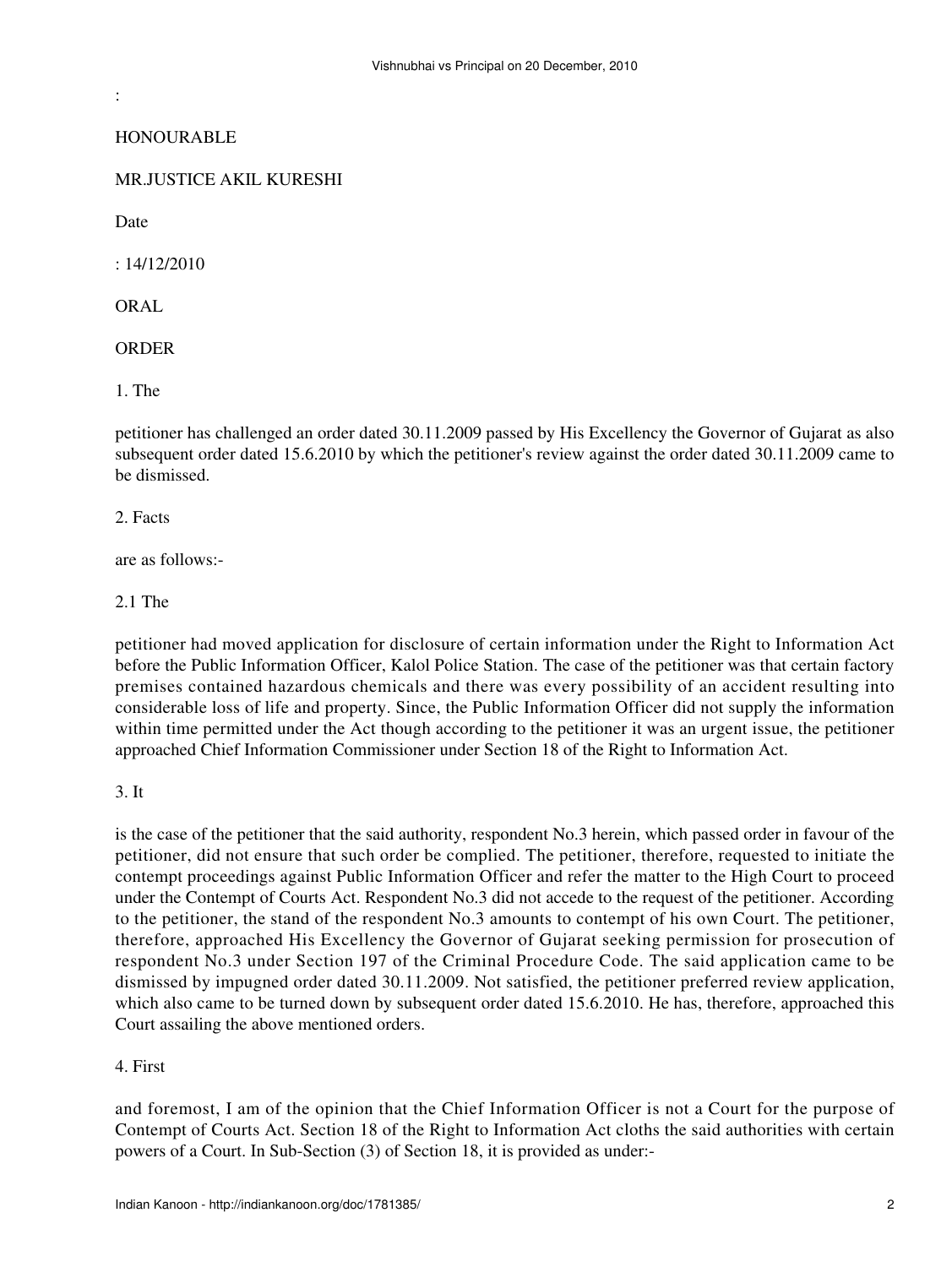**HONOURABLE** 

MR.JUSTICE AKIL KURESHI

Date

:

: 14/12/2010

ORAL

**ORDER** 

1. The

petitioner has challenged an order dated 30.11.2009 passed by His Excellency the Governor of Gujarat as also subsequent order dated 15.6.2010 by which the petitioner's review against the order dated 30.11.2009 came to be dismissed.

2. Facts

are as follows:-

2.1 The

petitioner had moved application for disclosure of certain information under the Right to Information Act before the Public Information Officer, Kalol Police Station. The case of the petitioner was that certain factory premises contained hazardous chemicals and there was every possibility of an accident resulting into considerable loss of life and property. Since, the Public Information Officer did not supply the information within time permitted under the Act though according to the petitioner it was an urgent issue, the petitioner approached Chief Information Commissioner under Section 18 of the Right to Information Act.

3. It

is the case of the petitioner that the said authority, respondent No.3 herein, which passed order in favour of the petitioner, did not ensure that such order be complied. The petitioner, therefore, requested to initiate the contempt proceedings against Public Information Officer and refer the matter to the High Court to proceed under the Contempt of Courts Act. Respondent No.3 did not accede to the request of the petitioner. According to the petitioner, the stand of the respondent No.3 amounts to contempt of his own Court. The petitioner, therefore, approached His Excellency the Governor of Gujarat seeking permission for prosecution of respondent No.3 under Section 197 of the Criminal Procedure Code. The said application came to be dismissed by impugned order dated 30.11.2009. Not satisfied, the petitioner preferred review application, which also came to be turned down by subsequent order dated 15.6.2010. He has, therefore, approached this Court assailing the above mentioned orders.

## 4. First

and foremost, I am of the opinion that the Chief Information Officer is not a Court for the purpose of Contempt of Courts Act. Section 18 of the Right to Information Act cloths the said authorities with certain powers of a Court. In Sub-Section (3) of Section 18, it is provided as under:-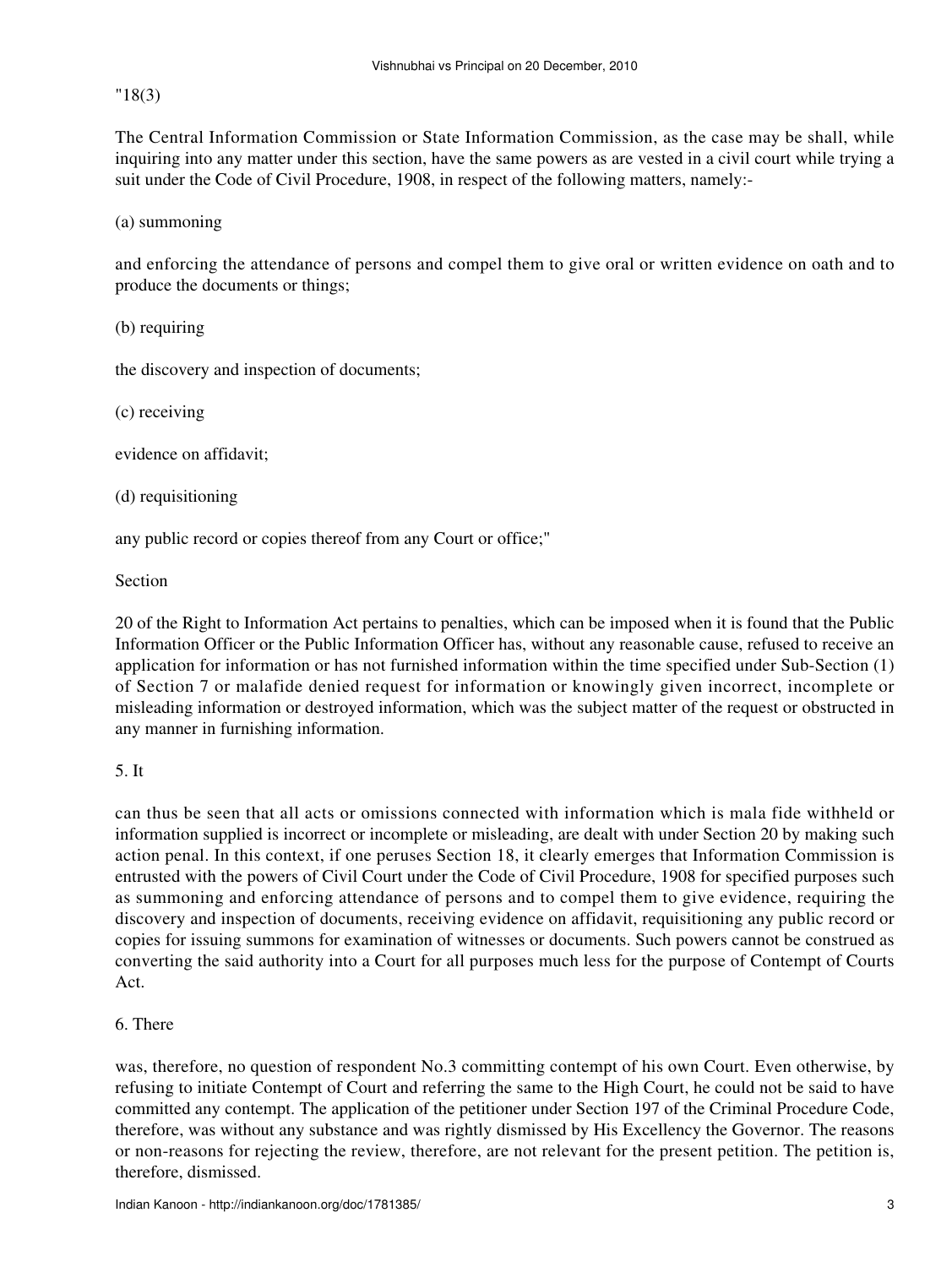"18(3)

The Central Information Commission or State Information Commission, as the case may be shall, while inquiring into any matter under this section, have the same powers as are vested in a civil court while trying a suit under the Code of Civil Procedure, 1908, in respect of the following matters, namely:-

(a) summoning

and enforcing the attendance of persons and compel them to give oral or written evidence on oath and to produce the documents or things;

(b) requiring

the discovery and inspection of documents;

(c) receiving

evidence on affidavit;

(d) requisitioning

any public record or copies thereof from any Court or office;"

Section

20 of the Right to Information Act pertains to penalties, which can be imposed when it is found that the Public Information Officer or the Public Information Officer has, without any reasonable cause, refused to receive an application for information or has not furnished information within the time specified under Sub-Section (1) of Section 7 or malafide denied request for information or knowingly given incorrect, incomplete or misleading information or destroyed information, which was the subject matter of the request or obstructed in any manner in furnishing information.

5. It

can thus be seen that all acts or omissions connected with information which is mala fide withheld or information supplied is incorrect or incomplete or misleading, are dealt with under Section 20 by making such action penal. In this context, if one peruses Section 18, it clearly emerges that Information Commission is entrusted with the powers of Civil Court under the Code of Civil Procedure, 1908 for specified purposes such as summoning and enforcing attendance of persons and to compel them to give evidence, requiring the discovery and inspection of documents, receiving evidence on affidavit, requisitioning any public record or copies for issuing summons for examination of witnesses or documents. Such powers cannot be construed as converting the said authority into a Court for all purposes much less for the purpose of Contempt of Courts Act.

## 6. There

was, therefore, no question of respondent No.3 committing contempt of his own Court. Even otherwise, by refusing to initiate Contempt of Court and referring the same to the High Court, he could not be said to have committed any contempt. The application of the petitioner under Section 197 of the Criminal Procedure Code, therefore, was without any substance and was rightly dismissed by His Excellency the Governor. The reasons or non-reasons for rejecting the review, therefore, are not relevant for the present petition. The petition is, therefore, dismissed.